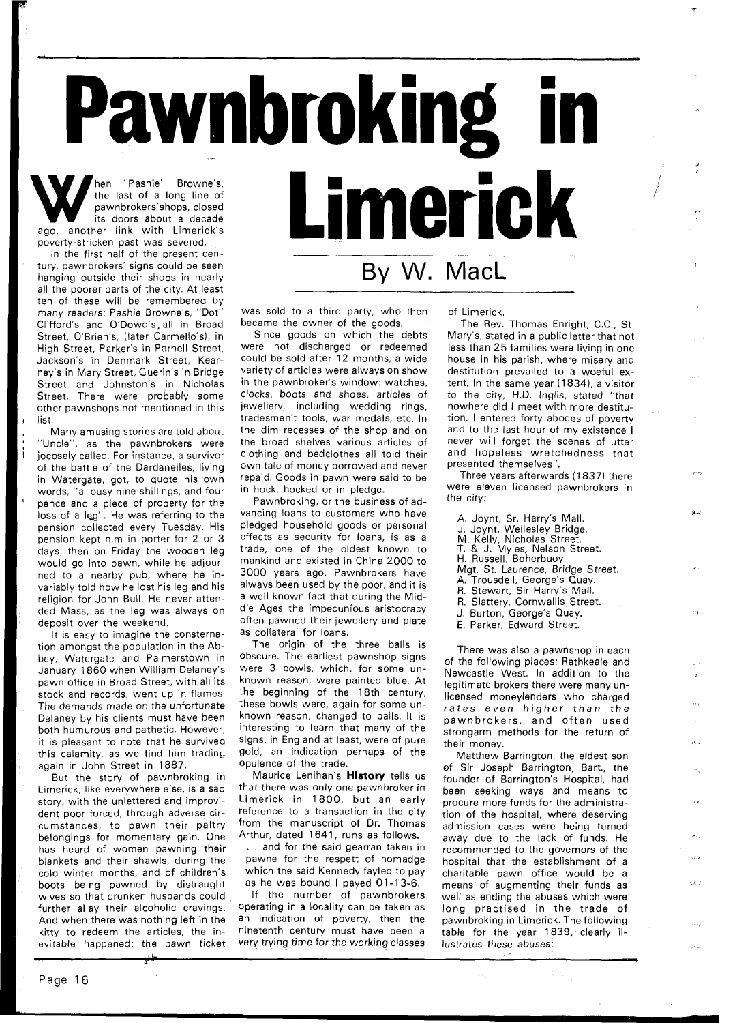W hen "Pashie" Browne's,<br>
the last of a long line of<br>
pawnbrokers shops, closed<br>
its doors about a decade<br>
ago, another link with Limerick's the last of a long line of pawnbrokers'shops, closed its doors about a decade poverty-stricken past was severed.

In the first half of the present century, pawnbrokers' signs could be seen hanging outside their shops in nearly all the poorer parts of the city. At least ten of these will be remembered by many readers: Pashie Browne's, "Dot" Clifford's and O'Dowd's, all in Broad Street, O'Brien's, (later Carmello's), in High Street, Parker's in Parnell Street, Jackson's in Denmark Street, Kearney's in Mary Street, Guerin's in Bridge Street and Johnston's in Nicholas Street. There were probably some other pawnshops not mentioned in this list.

Many amusing stories are told about "Uncle", as the pawnbrokers were jocosely called. For instance, a survivor of the battle of the Dardanelles, living in Watergate, got, to quote his own words, "a lousy nine shillings, and four pence and a piece of property for the loss of a leg". He was referring to the pension collected every Tuesday. His pension kept him in porter for **2** or **3**  days, then on Friday the wooden leg would go into pawn, while he adjourned to a nearby pub, where he invariably told how he lost his leg and his religion for John Bull. He never attended Mass, as the leg was always on deposit over the weekend.

It is easy to imagine the consternation amongst the population in the Abbey, Watergate and Palmerstown in January **1860** when William Delaney's pawn office in Broad Street, with all its stock and records, went up in flames. The demands made on the unfortunate Delaney by his clients must have been both humurous and pathetic. However, it is pleasant to note that he survived this calamity, as we find him trading again in John Street in **1887.** 

But the story of pawnbroking in Limerick, like everywhere else, is a sad story, with the unlettered and improvident poor forced, through adverse circumstances, to pawn their paltry belongings for momentary gain. One has heard of women pawning their blankets and their shawls, during the cold winter months, and of children's boots being pawned by distraught wives so that drunken husbands could further allay their alcoholic cravings. And when there was nothing left in the kitty to redeem the articles, the inevitable happened; the pawn ticket

became the owner of the goods. Since goods on which the debts were not discharged or redeemed

Pawnbroking i

could be sold after **12** months, a wide variety of articles were always on show in the pawnbroker's window: watches, clocks, boots and shoes, articles of jewellery, including wedding rings, tradesmen't tools, war medals, etc. In the dim recesses of the shop and on the broad shelves various articles of clothing and bedclothes all told their own tale of money borrowed and never repaid. Goods in pawn were said to be in hock, hocked or in pledge.

was sold to a third party, who then

Pawnbroking, or the business of advancing loans to customers who have pledged household goods or personal effects as security for loans, is as a trade, one of the oldest known to mankind and existed in China **2000** to **3000** years ago. Pawnbrokers have always been used by the poor, and it is a well known fact that during the Middle Ages the impecunious aristocracy often pawned their jewellery and plate as collateral for loans.

The origin of the three balls is obscure. The earliest pawnshop signs were **3** bowls, which, for some unknown reason, were painted blue. At the beginning of the **18th** century, these bowls were, again for some unknown reason, changed to balls. It is interesting to learn that many of the signs, in England at least, were of pure gold, an indication perhaps of the opulence of the trade.

Maurice Lenihan's **History** tells us that there was only one pawnbroker in Limerick in **1800,** but an early reference to a transaction in the city from the manuscript of Dr. Thomas Arthur, dated **1641,** runs as follows.

... and for the said gearran taken in pawne for the respett of homadge which the said Kennedy fayled to pay as he was bound I payed **01-13-6.** 

If the number of pawnbrokers operating in a locality can be taken as an indication of poverty, then the ninetenth century must have been a very trying time for the working classes of Limerick.

By W. MacL

Limerick

The Rev. Thomas Enright, C.C., St. Mary's, stated in a public letter that not less than **25** families were living in one house in his parish, where misery and destitution prevailed to a woeful extent. In the same year **(1 834),** a visitor to the city, H.D. Inglis, stated "that nowhere did I meet with more destitution. I entered forty abodes of poverty and to the last hour of my existence I never will forget the scenes of utter and hopeless wretchedness that presented themselves".

Three years afterwards (1837) there were eleven licensed pawnbrokers in the city:

- A. Joynt, Sr. Harry's Mall.
- J. Joynt, Wellesley Bridge.
- 
- M. Kelly, Nicholas Street.<br>T. & J. Myles, Nelson Street.
- H. Russell, Boherbuoy.
- Mgt. St. Laurence, Bridge Street.
- A. Trousdell, George's Quay.
- R. Stewart, Sir Harry's Mall.
- R. Slattery, Cornwallis Street.
- J. Burton, George's Quay.
- E. Parker, Edward Street.

There was also a pawnshop in each of the following places: Rathkeale and Newcastle West. In addition to the legitimate brokers there were many unlicensed moneylenders who charged rates even higher than the pawnbrokers, and often used strongarm methods for the return of their money.

Matthew Barrington, the eldest son of Sir Joseph Barrington, Bart., the founder of Barrington's Hospital, had been seeking ways and means to procure more funds for the administration of the hospital, where deserving admission cases were being turned away due to the lack of funds. He recommended to the governors of the hospital that the establishment of a charitable pawn office would be a means of augmenting their funds as well as ending the abuses which were long practised in the trade of pawnbroking in Limerick. The following table for the year **1839,** clearly illustrates these abuses: